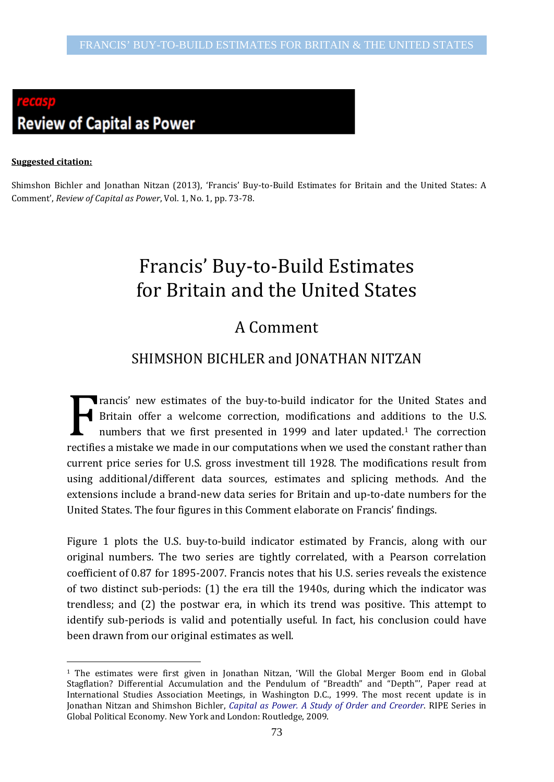# **Review of Capital as Power**

#### **Suggested citation:**

-

Shimshon Bichler and Jonathan Nitzan (2013), 'Francis' Buy-to-Build Estimates for Britain and the United States: A Comment', *Review of Capital as Power*, Vol. 1, No. 1, pp. 73-78.

## Francis' Buy-to-Build Estimates for Britain and the United States

## A Comment

### SHIMSHON BICHLER and JONATHAN NITZAN

rancis' new estimates of the buy-to-build indicator for the United States and Britain offer a welcome correction, modifications and additions to the U.S. numbers that we first presented in 1999 and later updated.[1](#page-0-0) The correction **Example 3** Britain offer a welcome correction, modifications and additions to the U.S. numbers that we first presented in 1999 and later updated.<sup>1</sup> The correction rectifies a mistake we made in our computations when we u current price series for U.S. gross investment till 1928. The modifications result from using additional/different data sources, estimates and splicing methods. And the extensions include a brand-new data series for Britain and up-to-date numbers for the United States. The four figures in this Comment elaborate on Francis' findings.

Figure 1 plots the U.S. buy-to-build indicator estimated by Francis, along with our original numbers. The two series are tightly correlated, with a Pearson correlation coefficient of 0.87 for 1895-2007. Francis notes that his U.S. series reveals the existence of two distinct sub-periods: (1) the era till the 1940s, during which the indicator was trendless; and (2) the postwar era, in which its trend was positive. This attempt to identify sub-periods is valid and potentially useful. In fact, his conclusion could have been drawn from our original estimates as well.

<span id="page-0-0"></span><sup>&</sup>lt;sup>1</sup> The estimates were first given in Jonathan Nitzan, 'Will the Global Merger Boom end in Global Stagflation? Differential Accumulation and the Pendulum of "Breadth" and "Depth"', Paper read at International Studies Association Meetings, in Washington D.C., 1999. The most recent update is in Jonathan Nitzan and Shimshon Bichler, *[Capital as Power. A Study of Order and Creorder](http://bnarchives.yorku.ca/259/)*. RIPE Series in Global Political Economy*.* New York and London: Routledge, 2009.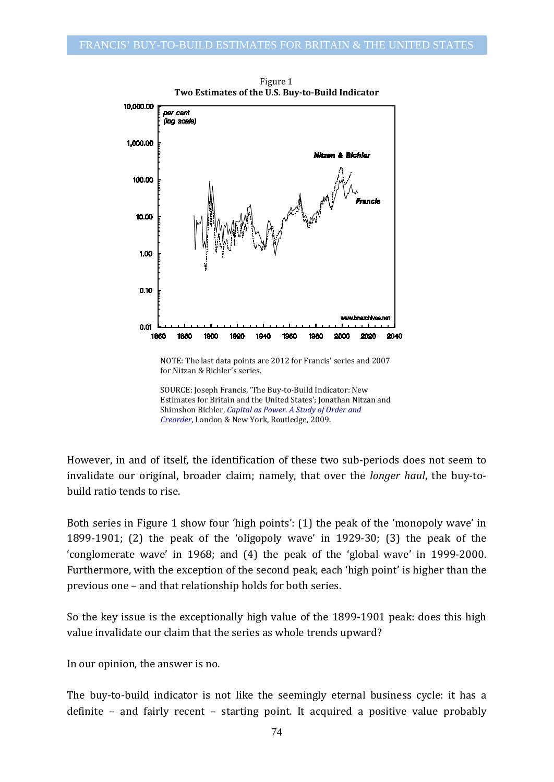

Figure 1 **Two Estimates of the U.S. Buy-to-Build Indicator**

However, in and of itself, the identification of these two sub-periods does not seem to invalidate our original, broader claim; namely, that over the *longer haul*, the buy-tobuild ratio tends to rise.

Both series in Figure 1 show four 'high points': (1) the peak of the 'monopoly wave' in 1899-1901; (2) the peak of the 'oligopoly wave' in 1929-30; (3) the peak of the 'conglomerate wave' in 1968; and (4) the peak of the 'global wave' in 1999-2000. Furthermore, with the exception of the second peak, each 'high point' is higher than the previous one – and that relationship holds for both series.

So the key issue is the exceptionally high value of the 1899-1901 peak: does this high value invalidate our claim that the series as whole trends upward?

In our opinion, the answer is no.

The buy-to-build indicator is not like the seemingly eternal business cycle: it has a definite – and fairly recent – starting point. It acquired a positive value probably

NOTE: The last data points are 2012 for Francis' series and 2007 for Nitzan & Bichler's series.

SOURCE: Joseph Francis, 'The Buy-to-Build Indicator: New Estimates for Britain and the United States'; Jonathan Nitzan and Shimshon Bichler, *[Capital as Power. A Study of Order and](http://bnarchives.yorku.ca/259/)  [Creorder](http://bnarchives.yorku.ca/259/)*, London & New York, Routledge, 2009.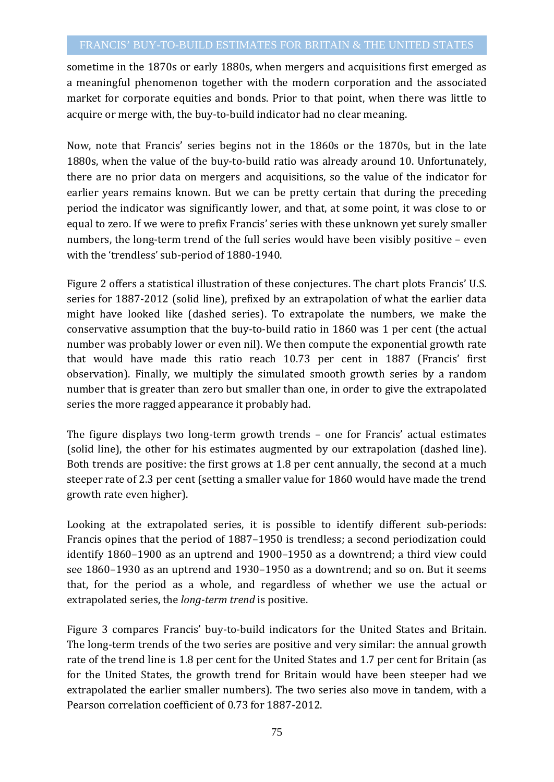sometime in the 1870s or early 1880s, when mergers and acquisitions first emerged as a meaningful phenomenon together with the modern corporation and the associated market for corporate equities and bonds. Prior to that point, when there was little to acquire or merge with, the buy-to-build indicator had no clear meaning.

Now, note that Francis' series begins not in the 1860s or the 1870s, but in the late 1880s, when the value of the buy-to-build ratio was already around 10. Unfortunately, there are no prior data on mergers and acquisitions, so the value of the indicator for earlier years remains known. But we can be pretty certain that during the preceding period the indicator was significantly lower, and that, at some point, it was close to or equal to zero. If we were to prefix Francis' series with these unknown yet surely smaller numbers, the long-term trend of the full series would have been visibly positive – even with the 'trendless' sub-period of 1880-1940.

Figure 2 offers a statistical illustration of these conjectures. The chart plots Francis' U.S. series for 1887-2012 (solid line), prefixed by an extrapolation of what the earlier data might have looked like (dashed series). To extrapolate the numbers, we make the conservative assumption that the buy-to-build ratio in 1860 was 1 per cent (the actual number was probably lower or even nil). We then compute the exponential growth rate that would have made this ratio reach 10.73 per cent in 1887 (Francis' first observation). Finally, we multiply the simulated smooth growth series by a random number that is greater than zero but smaller than one, in order to give the extrapolated series the more ragged appearance it probably had.

The figure displays two long-term growth trends – one for Francis' actual estimates (solid line), the other for his estimates augmented by our extrapolation (dashed line). Both trends are positive: the first grows at 1.8 per cent annually, the second at a much steeper rate of 2.3 per cent (setting a smaller value for 1860 would have made the trend growth rate even higher).

Looking at the extrapolated series, it is possible to identify different sub-periods: Francis opines that the period of 1887–1950 is trendless; a second periodization could identify 1860–1900 as an uptrend and 1900–1950 as a downtrend; a third view could see 1860–1930 as an uptrend and 1930–1950 as a downtrend; and so on. But it seems that, for the period as a whole, and regardless of whether we use the actual or extrapolated series, the *long-term trend* is positive.

Figure 3 compares Francis' buy-to-build indicators for the United States and Britain. The long-term trends of the two series are positive and very similar: the annual growth rate of the trend line is 1.8 per cent for the United States and 1.7 per cent for Britain (as for the United States, the growth trend for Britain would have been steeper had we extrapolated the earlier smaller numbers). The two series also move in tandem, with a Pearson correlation coefficient of 0.73 for 1887-2012.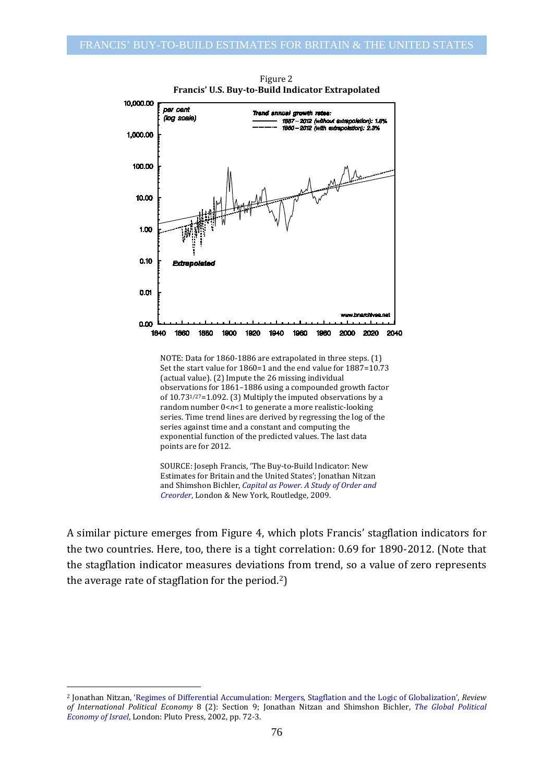

Figure 2 **Francis' U.S. Buy-to-Build Indicator Extrapolated**

NOTE: Data for 1860-1886 are extrapolated in three steps. (1) Set the start value for 1860=1 and the end value for 1887=10.73 (actual value). (2) Impute the 26 missing individual observations for 1861–1886 using a compounded growth factor of 10.731/27=1.092. (3) Multiply the imputed observations by a random number 0<*n*<1 to generate a more realistic-looking series. Time trend lines are derived by regressing the log of the series against time and a constant and computing the exponential function of the predicted values. The last data points are for 2012.

SOURCE: Joseph Francis, 'The Buy-to-Build Indicator: New Estimates for Britain and the United States'; Jonathan Nitzan and Shimshon Bichler, *[Capital as Power. A Study of Order and](http://bnarchives.yorku.ca/259/)  [Creorder](http://bnarchives.yorku.ca/259/)*, London & New York, Routledge, 2009.

A similar picture emerges from Figure 4, which plots Francis' stagflation indicators for the two countries. Here, too, there is a tight correlation: 0.69 for 1890-2012. (Note that the stagflation indicator measures deviations from trend, so a value of zero represents the average rate of stagflation for the period.[2](#page-3-0))

-

<span id="page-3-0"></span><sup>2</sup> Jonathan Nitzan, ['Regimes of Differential Accumulation: Mergers, Stagflation and the Logic of Globalization',](http://bnarchives.yorku.ca/3/) *Review of International Political Economy* 8 (2): Section 9; Jonathan Nitzan and Shimshon Bichler, *[The Global Political](http://bnarchives.yorku.ca/8/)  [Economy of Israel](http://bnarchives.yorku.ca/8/)*, London: Pluto Press, 2002, pp. 72-3.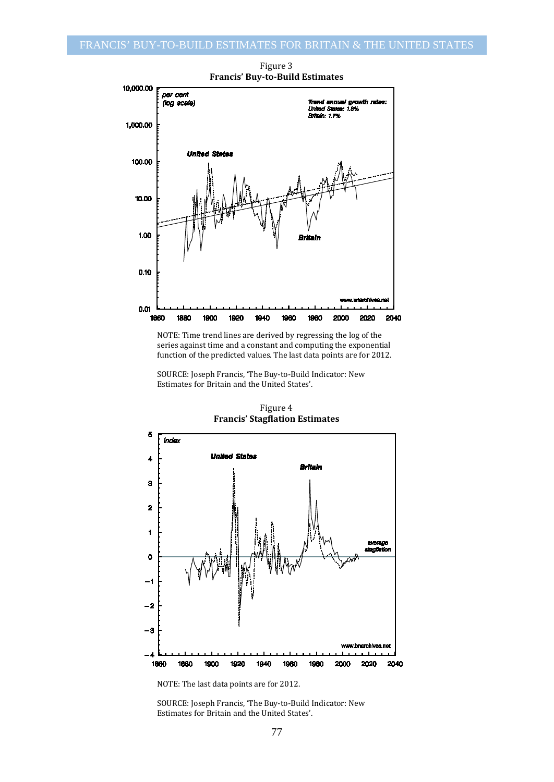

Figure 3 **Francis' Buy-to-Build Estimates**

NOTE: Time trend lines are derived by regressing the log of the series against time and a constant and computing the exponential function of the predicted values. The last data points are for 2012.

SOURCE: Joseph Francis, 'The Buy-to-Build Indicator: New Estimates for Britain and the United States'.



Figure 4 **Francis' Stagflation Estimates**

NOTE: The last data points are for 2012.

SOURCE: Joseph Francis, 'The Buy-to-Build Indicator: New Estimates for Britain and the United States'.